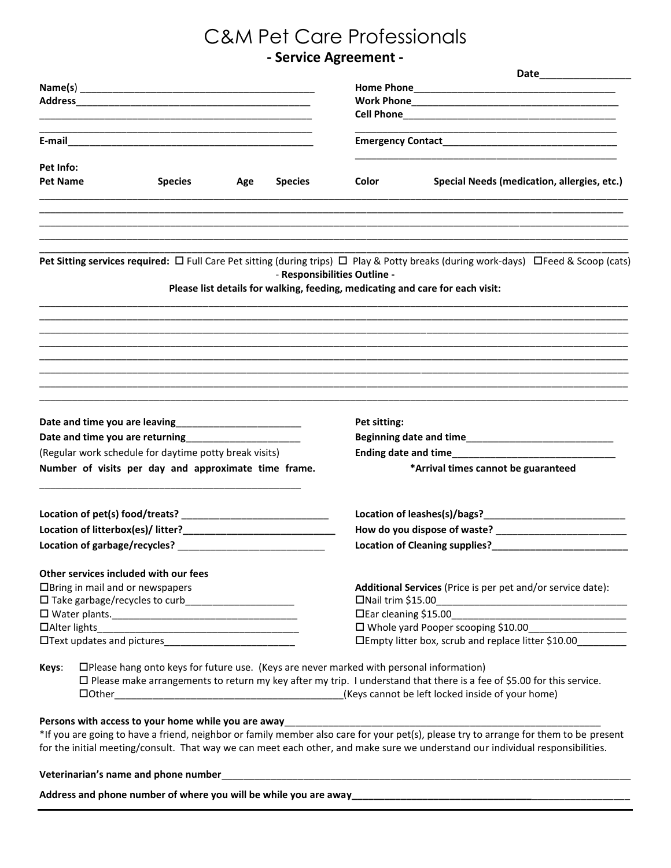# C&M Pet Care Professionals

# **- Service Agreement -**

| Pet Info:                                                           |                                                                                          |                                       |     |                |                                                                                                                              |                                                                                                                                     |  |  |  |  |  |  |  |  |
|---------------------------------------------------------------------|------------------------------------------------------------------------------------------|---------------------------------------|-----|----------------|------------------------------------------------------------------------------------------------------------------------------|-------------------------------------------------------------------------------------------------------------------------------------|--|--|--|--|--|--|--|--|
| <b>Pet Name</b>                                                     |                                                                                          | <b>Species</b>                        | Age | <b>Species</b> | Color                                                                                                                        | Special Needs (medication, allergies, etc.)                                                                                         |  |  |  |  |  |  |  |  |
|                                                                     |                                                                                          |                                       |     |                |                                                                                                                              | Pet Sitting services required: □ Full Care Pet sitting (during trips) □ Play & Potty breaks (during work-days) □Feed & Scoop (cats) |  |  |  |  |  |  |  |  |
|                                                                     |                                                                                          |                                       |     |                | - Responsibilities Outline -                                                                                                 | Please list details for walking, feeding, medicating and care for each visit:                                                       |  |  |  |  |  |  |  |  |
|                                                                     |                                                                                          |                                       |     |                |                                                                                                                              |                                                                                                                                     |  |  |  |  |  |  |  |  |
|                                                                     |                                                                                          |                                       |     |                | Pet sitting:                                                                                                                 |                                                                                                                                     |  |  |  |  |  |  |  |  |
| Date and time you are returning <b>EXALLER ADDRESS CONTENTS AND</b> |                                                                                          |                                       |     |                |                                                                                                                              |                                                                                                                                     |  |  |  |  |  |  |  |  |
| (Regular work schedule for daytime potty break visits)              |                                                                                          |                                       |     |                | Ending date and time<br><u>Ending</u> date and time                                                                          |                                                                                                                                     |  |  |  |  |  |  |  |  |
| Number of visits per day and approximate time frame.                |                                                                                          |                                       |     |                |                                                                                                                              | *Arrival times cannot be guaranteed                                                                                                 |  |  |  |  |  |  |  |  |
|                                                                     |                                                                                          |                                       |     |                |                                                                                                                              |                                                                                                                                     |  |  |  |  |  |  |  |  |
|                                                                     |                                                                                          |                                       |     |                |                                                                                                                              |                                                                                                                                     |  |  |  |  |  |  |  |  |
|                                                                     |                                                                                          |                                       |     |                | Location of Cleaning supplies?__________________                                                                             |                                                                                                                                     |  |  |  |  |  |  |  |  |
|                                                                     |                                                                                          | Other services included with our fees |     |                |                                                                                                                              |                                                                                                                                     |  |  |  |  |  |  |  |  |
| □Bring in mail and or newspapers                                    |                                                                                          |                                       |     |                | Additional Services (Price is per pet and/or service date):                                                                  |                                                                                                                                     |  |  |  |  |  |  |  |  |
|                                                                     |                                                                                          |                                       |     |                | □Nail trim \$15.00                                                                                                           |                                                                                                                                     |  |  |  |  |  |  |  |  |
|                                                                     |                                                                                          |                                       |     |                | □Ear cleaning \$15.00<br>the control of the control of the control of the control of the control of the control of           |                                                                                                                                     |  |  |  |  |  |  |  |  |
|                                                                     |                                                                                          |                                       |     |                | □ Whole yard Pooper scooping \$10.00                                                                                         |                                                                                                                                     |  |  |  |  |  |  |  |  |
| □Text updates and pictures<br>□Text updates and pictures            |                                                                                          |                                       |     |                | □Empty litter box, scrub and replace litter \$10.00_________                                                                 |                                                                                                                                     |  |  |  |  |  |  |  |  |
| Keys:                                                               | □Please hang onto keys for future use. (Keys are never marked with personal information) |                                       |     |                |                                                                                                                              |                                                                                                                                     |  |  |  |  |  |  |  |  |
|                                                                     |                                                                                          |                                       |     |                | $\Box$ Please make arrangements to return my key after my trip. I understand that there is a fee of \$5.00 for this service. |                                                                                                                                     |  |  |  |  |  |  |  |  |
|                                                                     | $\Box$ Other                                                                             |                                       |     |                | (Keys cannot be left locked inside of your home)                                                                             |                                                                                                                                     |  |  |  |  |  |  |  |  |

#### Persons with access to your home while you are away\_\_\_\_

\*If you are going to have a friend, neighbor or family member also care for your pet(s), please try to arrange for them to be present for the initial meeting/consult. That way we can meet each other, and make sure we understand our individual responsibilities.

#### Veterinarian's name and phone number\_\_

Address and phone number of where you will be while you are away\_